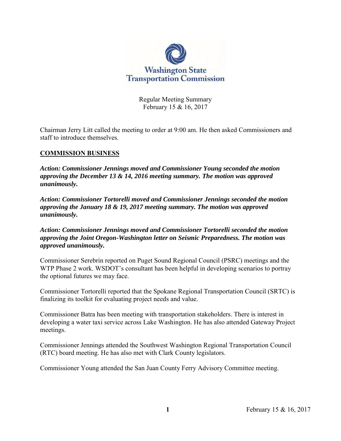

Regular Meeting Summary February 15 & 16, 2017

Chairman Jerry Litt called the meeting to order at 9:00 am. He then asked Commissioners and staff to introduce themselves.

### **COMMISSION BUSINESS**

*Action: Commissioner Jennings moved and Commissioner Young seconded the motion approving the December 13 & 14, 2016 meeting summary. The motion was approved unanimously.*

*Action: Commissioner Tortorelli moved and Commissioner Jennings seconded the motion approving the January 18 & 19, 2017 meeting summary. The motion was approved unanimously.*

*Action: Commissioner Jennings moved and Commissioner Tortorelli seconded the motion approving the Joint Oregon-Washington letter on Seismic Preparedness. The motion was approved unanimously.*

Commissioner Serebrin reported on Puget Sound Regional Council (PSRC) meetings and the WTP Phase 2 work. WSDOT's consultant has been helpful in developing scenarios to portray the optional futures we may face.

Commissioner Tortorelli reported that the Spokane Regional Transportation Council (SRTC) is finalizing its toolkit for evaluating project needs and value.

Commissioner Batra has been meeting with transportation stakeholders. There is interest in developing a water taxi service across Lake Washington. He has also attended Gateway Project meetings.

Commissioner Jennings attended the Southwest Washington Regional Transportation Council (RTC) board meeting. He has also met with Clark County legislators.

Commissioner Young attended the San Juan County Ferry Advisory Committee meeting.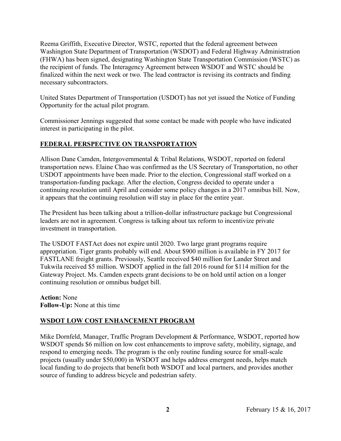Reema Griffith, Executive Director, WSTC, reported that the federal agreement between Washington State Department of Transportation (WSDOT) and Federal Highway Administration (FHWA) has been signed, designating Washington State Transportation Commission (WSTC) as the recipient of funds. The Interagency Agreement between WSDOT and WSTC should be finalized within the next week or two. The lead contractor is revising its contracts and finding necessary subcontractors.

United States Department of Transportation (USDOT) has not yet issued the Notice of Funding Opportunity for the actual pilot program.

Commissioner Jennings suggested that some contact be made with people who have indicated interest in participating in the pilot.

## **FEDERAL PERSPECTIVE ON TRANSPORTATION**

Allison Dane Camden, Intergovernmental & Tribal Relations, WSDOT, reported on federal transportation news. Elaine Chao was confirmed as the US Secretary of Transportation, no other USDOT appointments have been made. Prior to the election, Congressional staff worked on a transportation-funding package. After the election, Congress decided to operate under a continuing resolution until April and consider some policy changes in a 2017 omnibus bill. Now, it appears that the continuing resolution will stay in place for the entire year.

The President has been talking about a trillion-dollar infrastructure package but Congressional leaders are not in agreement. Congress is talking about tax reform to incentivize private investment in transportation.

The USDOT FASTAct does not expire until 2020. Two large grant programs require appropriation. Tiger grants probably will end. About \$900 million is available in FY 2017 for FASTLANE freight grants. Previously, Seattle received \$40 million for Lander Street and Tukwila received \$5 million. WSDOT applied in the fall 2016 round for \$114 million for the Gateway Project. Ms. Camden expects grant decisions to be on hold until action on a longer continuing resolution or omnibus budget bill.

**Action:** None **Follow-Up:** None at this time

## **WSDOT LOW COST ENHANCEMENT PROGRAM**

Mike Dornfeld, Manager, Traffic Program Development & Performance, WSDOT, reported how WSDOT spends \$6 million on low cost enhancements to improve safety, mobility, signage, and respond to emerging needs. The program is the only routine funding source for small-scale projects (usually under \$50,000) in WSDOT and helps address emergent needs, helps match local funding to do projects that benefit both WSDOT and local partners, and provides another source of funding to address bicycle and pedestrian safety.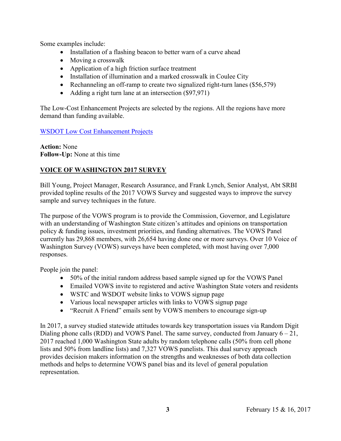Some examples include:

- Installation of a flashing beacon to better warn of a curve ahead
- Moving a crosswalk
- Application of a high friction surface treatment
- Installation of illumination and a marked crosswalk in Coulee City
- Rechanneling an off-ramp to create two signalized right-turn lanes (\$56,579)
- Adding a right turn lane at an intersection (\$97,971)

The Low-Cost Enhancement Projects are selected by the regions. All the regions have more demand than funding available.

### [WSDOT Low Cost Enhancement Projects](http://www.wstc.wa.gov/Meetings/AgendasMinutes/agendas/2017/February15/Documents/2017_0215_BP3_LowCostEnhancements.pdf)

**Action:** None **Follow-Up:** None at this time

## **VOICE OF WASHINGTON 2017 SURVEY**

Bill Young, Project Manager, Research Assurance, and Frank Lynch, Senior Analyst, Abt SRBI provided topline results of the 2017 VOWS Survey and suggested ways to improve the survey sample and survey techniques in the future.

The purpose of the VOWS program is to provide the Commission, Governor, and Legislature with an understanding of Washington State citizen's attitudes and opinions on transportation policy & funding issues, investment priorities, and funding alternatives. The VOWS Panel currently has 29,868 members, with 26,654 having done one or more surveys. Over 10 Voice of Washington Survey (VOWS) surveys have been completed, with most having over 7,000 responses.

People join the panel:

- 50% of the initial random address based sample signed up for the VOWS Panel
- Emailed VOWS invite to registered and active Washington State voters and residents
- WSTC and WSDOT website links to VOWS signup page
- Various local newspaper articles with links to VOWS signup page
- "Recruit A Friend" emails sent by VOWS members to encourage sign-up

In 2017, a survey studied statewide attitudes towards key transportation issues via Random Digit Dialing phone calls (RDD) and VOWS Panel. The same survey, conducted from January  $6 - 21$ , 2017 reached 1,000 Washington State adults by random telephone calls (50% from cell phone lists and 50% from landline lists) and 7,327 VOWS panelists. This dual survey approach provides decision makers information on the strengths and weaknesses of both data collection methods and helps to determine VOWS panel bias and its level of general population representation.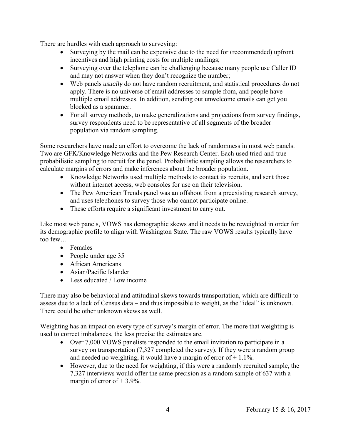There are hurdles with each approach to surveying:

- Surveying by the mail can be expensive due to the need for (recommended) upfront incentives and high printing costs for multiple mailings;
- Surveying over the telephone can be challenging because many people use Caller ID and may not answer when they don't recognize the number;
- Web panels *usually* do not have random recruitment, and statistical procedures do not apply. There is no universe of email addresses to sample from, and people have multiple email addresses. In addition, sending out unwelcome emails can get you blocked as a spammer.
- For all survey methods, to make generalizations and projections from survey findings, survey respondents need to be representative of all segments of the broader population via random sampling.

Some researchers have made an effort to overcome the lack of randomness in most web panels. Two are GFK/Knowledge Networks and the Pew Research Center. Each used tried-and-true probabilistic sampling to recruit for the panel. Probabilistic sampling allows the researchers to calculate margins of errors and make inferences about the broader population.

- Knowledge Networks used multiple methods to contact its recruits, and sent those without internet access, web consoles for use on their television.
- The Pew American Trends panel was an offshoot from a preexisting research survey, and uses telephones to survey those who cannot participate online.
- These efforts require a significant investment to carry out.

Like most web panels, VOWS has demographic skews and it needs to be reweighted in order for its demographic profile to align with Washington State. The raw VOWS results typically have too few…

- Females
- People under age 35
- African Americans
- Asian/Pacific Islander
- Less educated / Low income

There may also be behavioral and attitudinal skews towards transportation, which are difficult to assess due to a lack of Census data – and thus impossible to weight, as the "ideal" is unknown. There could be other unknown skews as well.

Weighting has an impact on every type of survey's margin of error. The more that weighting is used to correct imbalances, the less precise the estimates are.

- Over 7,000 VOWS panelists responded to the email invitation to participate in a survey on transportation (7,327 completed the survey). If they were a random group and needed no weighting, it would have a margin of error of  $+1.1\%$ .
- However, due to the need for weighting, if this were a randomly recruited sample, the 7,327 interviews would offer the same precision as a random sample of 637 with a margin of error of  $+$  3.9%.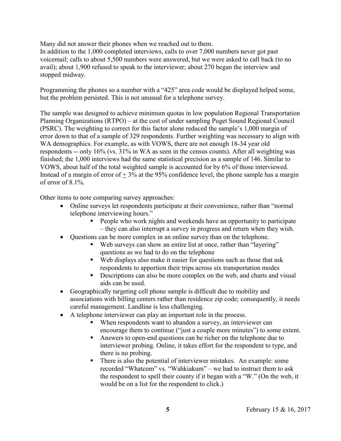Many did not answer their phones when we reached out to them.

In addition to the 1,000 completed interviews, calls to over 7,000 numbers never got past voicemail; calls to about 5,500 numbers were answered, but we were asked to call back (to no avail); about 1,900 refused to speak to the interviewer; about 270 began the interview and stopped midway.

Programming the phones so a number with a "425" area code would be displayed helped some, but the problem persisted. This is not unusual for a telephone survey.

The sample was designed to achieve minimum quotas in low population Regional Transportation Planning Organizations (RTPO) – at the cost of under sampling Puget Sound Regional Council (PSRC). The weighting to correct for this factor alone reduced the sample's 1,000 margin of error down to that of a sample of 329 respondents. Further weighting was necessary to align with WA demographics. For example, as with VOWS, there are not enough 18-34 year old respondents -- only 16% (vs. 31% in WA as seen in the census counts). After all weighting was finished; the 1,000 interviews had the same statistical precision as a sample of 146. Similar to VOWS, about half of the total weighted sample is accounted for by 6% of those interviewed. Instead of a margin of error of  $+3\%$  at the 95% confidence level, the phone sample has a margin of error of 8.1%.

Other items to note comparing survey approaches:

- Online surveys let respondents participate at their convenience, rather than "normal telephone interviewing hours."
	- People who work nights and weekends have an opportunity to participate – they can also interrupt a survey in progress and return when they wish.
- Questions can be more complex in an online survey than on the telephone.
	- Web surveys can show an entire list at once, rather than "layering" questions as we had to do on the telephone
	- Web displays also make it easier for questions such as those that ask respondents to apportion their trips across six transportation modes
	- Descriptions can also be more complex on the web, and charts and visual aids can be used.
- Geographically targeting cell phone sample is difficult due to mobility and associations with billing centers rather than residence zip code; consequently, it needs careful management. Landline is less challenging.
- A telephone interviewer can play an important role in the process.
	- When respondents want to abandon a survey, an interviewer can encourage them to continue ("just a couple more minutes") to some extent.
	- Answers to open-end questions can be richer on the telephone due to interviewer probing. Online, it takes effort for the respondent to type, and there is no probing.
	- There is also the potential of interviewer mistakes. An example: some recorded "Whatcom" vs. "Wahkiakum" – we had to instruct them to ask the respondent to spell their county if it began with a "W." (On the web, it would be on a list for the respondent to click.)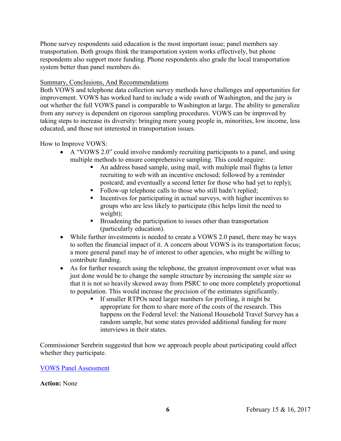Phone survey respondents said education is the most important issue; panel members say transportation. Both groups think the transportation system works effectively, but phone respondents also support more funding. Phone respondents also grade the local transportation system better than panel members do.

### Summary, Conclusions, And Recommendations

Both VOWS and telephone data collection survey methods have challenges and opportunities for improvement. VOWS has worked hard to include a wide swath of Washington, and the jury is out whether the full VOWS panel is comparable to Washington at large. The ability to generalize from any survey is dependent on rigorous sampling procedures. VOWS can be improved by taking steps to increase its diversity: bringing more young people in, minorities, low income, less educated, and those not interested in transportation issues.

### How to Improve VOWS:

- A "VOWS 2.0" could involve randomly recruiting participants to a panel, and using multiple methods to ensure comprehensive sampling. This could require:
	- An address based sample, using mail, with multiple mail flights (a letter recruiting to web with an incentive enclosed; followed by a reminder postcard; and eventually a second letter for those who had yet to reply);
	- Follow-up telephone calls to those who still hadn't replied;
	- Incentives for participating in actual surveys, with higher incentives to groups who are less likely to participate (this helps limit the need to weight);
	- **Broadening the participation to issues other than transportation** (particularly education).
- While further investments is needed to create a VOWS 2.0 panel, there may be ways to soften the financial impact of it. A concern about VOWS is its transportation focus; a more general panel may be of interest to other agencies, who might be willing to contribute funding.
- As for further research using the telephone, the greatest improvement over what was just done would be to change the sample structure by increasing the sample size so that it is not so heavily skewed away from PSRC to one more completely proportional to population. This would increase the precision of the estimates significantly.
	- If smaller RTPOs need larger numbers for profiling, it might be appropriate for them to share more of the costs of the research. This happens on the Federal level: the National Household Travel Survey has a random sample, but some states provided additional funding for more interviews in their states.

Commissioner Serebrin suggested that how we approach people about participating could affect whether they participate.

#### [VOWS Panel Assessment](http://www.wstc.wa.gov/Meetings/AgendasMinutes/agendas/2017/February15/Documents/2017_0215_BP4_VOWS.pdf)

#### **Action:** None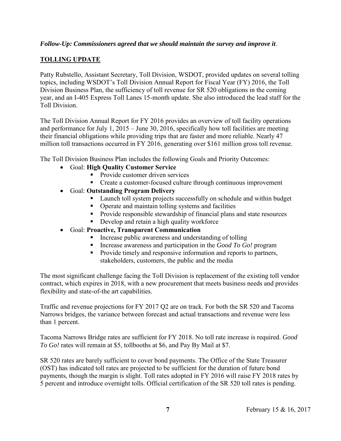### *Follow-Up: Commissioners agreed that we should maintain the survey and improve it*.

## **TOLLING UPDATE**

Patty Rubstello, Assistant Secretary, Toll Division, WSDOT, provided updates on several tolling topics, including WSDOT's Toll Division Annual Report for Fiscal Year (FY) 2016, the Toll Division Business Plan, the sufficiency of toll revenue for SR 520 obligations in the coming year, and an I-405 Express Toll Lanes 15-month update. She also introduced the lead staff for the Toll Division.

The Toll Division Annual Report for FY 2016 provides an overview of toll facility operations and performance for July 1, 2015 – June 30, 2016, specifically how toll facilities are meeting their financial obligations while providing trips that are faster and more reliable. Nearly 47 million toll transactions occurred in FY 2016, generating over \$161 million gross toll revenue.

The Toll Division Business Plan includes the following Goals and Priority Outcomes:

- Goal: **High Quality Customer Service**
	- Provide customer driven services
	- Create a customer-focused culture through continuous improvement
- Goal: **Outstanding Program Delivery**
	- **Launch toll system projects successfully on schedule and within budget**
	- **•** Operate and maintain tolling systems and facilities
	- **Provide responsible stewardship of financial plans and state resources**
	- **Develop and retain a high quality workforce**
- Goal: **Proactive, Transparent Communication**
	- Increase public awareness and understanding of tolling
	- Increase awareness and participation in the *Good To Go!* program
	- **Provide timely and responsive information and reports to partners,** stakeholders, customers, the public and the media

The most significant challenge facing the Toll Division is replacement of the existing toll vendor contract, which expires in 2018, with a new procurement that meets business needs and provides flexibility and state-of-the art capabilities.

Traffic and revenue projections for FY 2017 Q2 are on track. For both the SR 520 and Tacoma Narrows bridges, the variance between forecast and actual transactions and revenue were less than 1 percent.

Tacoma Narrows Bridge rates are sufficient for FY 2018. No toll rate increase is required. *Good To Go!* rates will remain at \$5, tollbooths at \$6, and Pay By Mail at \$7.

SR 520 rates are barely sufficient to cover bond payments. The Office of the State Treasurer (OST) has indicated toll rates are projected to be sufficient for the duration of future bond payments, though the margin is slight. Toll rates adopted in FY 2016 will raise FY 2018 rates by 5 percent and introduce overnight tolls. Official certification of the SR 520 toll rates is pending.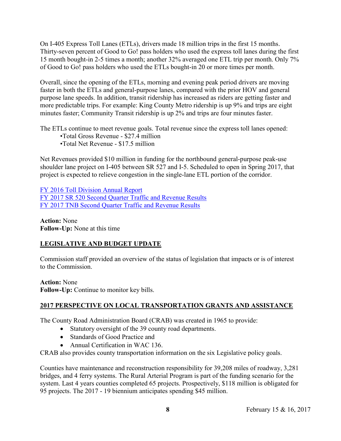On I-405 Express Toll Lanes (ETLs), drivers made 18 million trips in the first 15 months. Thirty-seven percent of Good to Go! pass holders who used the express toll lanes during the first 15 month bought-in 2-5 times a month; another 32% averaged one ETL trip per month. Only 7% of Good to Go! pass holders who used the ETLs bought-in 20 or more times per month.

Overall, since the opening of the ETLs, morning and evening peak period drivers are moving faster in both the ETLs and general-purpose lanes, compared with the prior HOV and general purpose lane speeds. In addition, transit ridership has increased as riders are getting faster and more predictable trips. For example: King County Metro ridership is up 9% and trips are eight minutes faster; Community Transit ridership is up 2% and trips are four minutes faster.

The ETLs continue to meet revenue goals. Total revenue since the express toll lanes opened:

- •Total Gross Revenue \$27.4 million
- •Total Net Revenue \$17.5 million

Net Revenues provided \$10 million in funding for the northbound general-purpose peak-use shoulder lane project on I-405 between SR 527 and I-5. Scheduled to open in Spring 2017, that project is expected to relieve congestion in the single-lane ETL portion of the corridor.

[FY 2016 Toll Division](http://www.wstc.wa.gov/Meetings/AgendasMinutes/agendas/2017/February15/Documents/2017_0215_BP6_TollingUpdate.pdf) Annual Report [FY 2017 SR 520 Second Quarter Traffic and Revenue Results](http://www.wstc.wa.gov/Meetings/AgendasMinutes/agendas/2017/February15/Documents/2017_0215_BP6_SR520_FY17Q2_TrafficAndRevenue_toWSTC.PDF) [FY 2017 TNB Second Quarter Traffic and Revenue Results](http://www.wstc.wa.gov/Meetings/AgendasMinutes/agendas/2017/February15/Documents/2017_0215_BP6_TNB_FY17Q2_TrafficAndRevenue_toWSTC.PDF)

**Action:** None **Follow-Up:** None at this time

## **LEGISLATIVE AND BUDGET UPDATE**

Commission staff provided an overview of the status of legislation that impacts or is of interest to the Commission.

**Action:** None **Follow-Up:** Continue to monitor key bills.

## **2017 PERSPECTIVE ON LOCAL TRANSPORTATION GRANTS AND ASSISTANCE**

The County Road Administration Board (CRAB) was created in 1965 to provide:

- Statutory oversight of the 39 county road departments.
- Standards of Good Practice and
- Annual Certification in WAC 136.

CRAB also provides county transportation information on the six Legislative policy goals.

Counties have maintenance and reconstruction responsibility for 39,208 miles of roadway, 3,281 bridges, and 4 ferry systems. The Rural Arterial Program is part of the funding scenario for the system. Last 4 years counties completed 65 projects. Prospectively, \$118 million is obligated for 95 projects. The 2017 - 19 biennium anticipates spending \$45 million.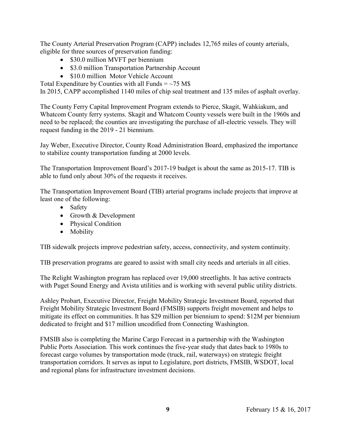The County Arterial Preservation Program (CAPP) includes 12,765 miles of county arterials, eligible for three sources of preservation funding:

- \$30.0 million MVFT per biennium
- \$3.0 million Transportation Partnership Account
- \$10.0 million Motor Vehicle Account

Total Expenditure by Counties with all Funds  $=$  ~75 M\$

In 2015, CAPP accomplished 1140 miles of chip seal treatment and 135 miles of asphalt overlay.

The County Ferry Capital Improvement Program extends to Pierce, Skagit, Wahkiakum, and Whatcom County ferry systems. Skagit and Whatcom County vessels were built in the 1960s and need to be replaced; the counties are investigating the purchase of all-electric vessels. They will request funding in the 2019 - 21 biennium.

Jay Weber, Executive Director, County Road Administration Board, emphasized the importance to stabilize county transportation funding at 2000 levels.

The Transportation Improvement Board's 2017-19 budget is about the same as 2015-17. TIB is able to fund only about 30% of the requests it receives.

The Transportation Improvement Board (TIB) arterial programs include projects that improve at least one of the following:

- Safety
- Growth & Development
- Physical Condition
- Mobility

TIB sidewalk projects improve pedestrian safety, access, connectivity, and system continuity.

TIB preservation programs are geared to assist with small city needs and arterials in all cities.

The Relight Washington program has replaced over 19,000 streetlights. It has active contracts with Puget Sound Energy and Avista utilities and is working with several public utility districts.

Ashley Probart, Executive Director, Freight Mobility Strategic Investment Board, reported that Freight Mobility Strategic Investment Board (FMSIB) supports freight movement and helps to mitigate its effect on communities. It has \$29 million per biennium to spend: \$12M per biennium dedicated to freight and \$17 million uncodified from Connecting Washington.

FMSIB also is completing the Marine Cargo Forecast in a partnership with the Washington Public Ports Association. This work continues the five-year study that dates back to 1980s to forecast cargo volumes by transportation mode (truck, rail, waterways) on strategic freight transportation corridors. It serves as input to Legislature, port districts, FMSIB, WSDOT, local and regional plans for infrastructure investment decisions.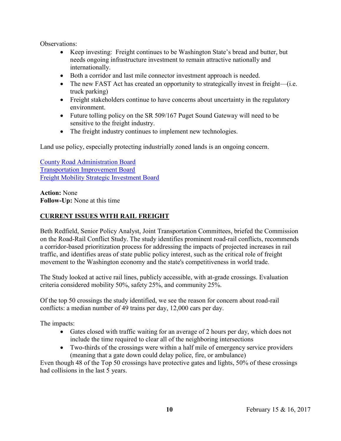Observations:

- Keep investing: Freight continues to be Washington State's bread and butter, but needs ongoing infrastructure investment to remain attractive nationally and internationally.
- Both a corridor and last mile connector investment approach is needed.
- The new FAST Act has created an opportunity to strategically invest in freight—(i.e. truck parking)
- Freight stakeholders continue to have concerns about uncertainty in the regulatory environment.
- Future tolling policy on the SR 509/167 Puget Sound Gateway will need to be sensitive to the freight industry.
- The freight industry continues to implement new technologies.

Land use policy, especially protecting industrially zoned lands is an ongoing concern.

[County Road Administration Board](http://www.wstc.wa.gov/Meetings/AgendasMinutes/agendas/2017/February15/Documents/2017_0215_BP8_CRAB.pdf) [Transportation Improvement Board](http://www.wstc.wa.gov/Meetings/AgendasMinutes/agendas/2017/February15/Documents/2017_0215_BP8_TIB.pdf) [Freight Mobility Strategic Investment Board](http://www.wstc.wa.gov/Meetings/AgendasMinutes/agendas/2017/February15/Documents/2017_0215_BP8_FMSIB.pdf)

**Action:** None **Follow-Up:** None at this time

## **CURRENT ISSUES WITH RAIL FREIGHT**

Beth Redfield, Senior Policy Analyst, Joint Transportation Committees, briefed the Commission on the Road-Rail Conflict Study. The study identifies prominent road-rail conflicts, recommends a corridor-based prioritization process for addressing the impacts of projected increases in rail traffic, and identifies areas of state public policy interest, such as the critical role of freight movement to the Washington economy and the state's competitiveness in world trade.

The Study looked at active rail lines, publicly accessible, with at-grade crossings. Evaluation criteria considered mobility 50%, safety 25%, and community 25%.

Of the top 50 crossings the study identified, we see the reason for concern about road-rail conflicts: a median number of 49 trains per day, 12,000 cars per day.

The impacts:

- Gates closed with traffic waiting for an average of 2 hours per day, which does not include the time required to clear all of the neighboring intersections
- Two-thirds of the crossings were within a half mile of emergency service providers (meaning that a gate down could delay police, fire, or ambulance)

Even though 48 of the Top 50 crossings have protective gates and lights, 50% of these crossings had collisions in the last 5 years.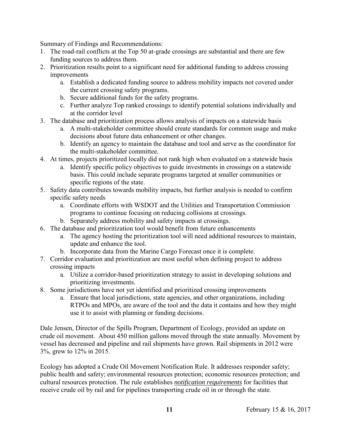Summary of Findings and Recommendations:

- 1. The road-rail conflicts at the Top 50 at-grade crossings are substantial and there are few funding sources to address them.
- 2. Prioritization results point to a significant need for additional funding to address crossing improvements
	- a. Establish a dedicated funding source to address mobility impacts not covered under the current crossing safety programs.
	- b. Secure additional funds for the safety programs.
	- c. Further analyze Top ranked crossings to identify potential solutions individually and at the corridor level
- 3. The database and prioritization process allows analysis of impacts on a statewide basis
	- a. A multi-stakeholder committee should create standards for common usage and make decisions about future data enhancement or other changes.
	- b. Identify an agency to maintain the database and tool and serve as the coordinator for the multi-stakeholder committee*.*
- 4. At times, projects prioritized locally did not rank high when evaluated on a statewide basis
	- a. Identify specific policy objectives to guide investments in crossings on a statewide basis. This could include separate programs targeted at smaller communities or specific regions of the state.
- 5. Safety data contributes towards mobility impacts, but further analysis is needed to confirm specific safety needs
	- a. Coordinate efforts with WSDOT and the Utilities and Transportation Commission programs to continue focusing on reducing collisions at crossings.
	- b. Separately address mobility and safety impacts at crossings.
- 6. The database and prioritization tool would benefit from future enhancements
	- a. The agency hosting the prioritization tool will need additional resources to maintain, update and enhance the tool.
	- b. Incorporate data from the Marine Cargo Forecast once it is complete.
- 7. Corridor evaluation and prioritization are most useful when defining project to address crossing impacts
	- a. Utilize a corridor-based prioritization strategy to assist in developing solutions and prioritizing investments.
- 8. Some jurisdictions have not yet identified and prioritized crossing improvements
	- a. Ensure that local jurisdictions, state agencies, and other organizations, including RTPOs and MPOs, are aware of the tool and the data it contains and how they might use it to assist with planning or funding decisions.

Dale Jensen, Director of the Spills Program, Department of Ecology, provided an update on crude oil movement. About 450 million gallons moved through the state annually. Movement by vessel has decreased and pipeline and rail shipments have grown. Rail shipments in 2012 were 3%, grew to 12% in 2015.

Ecology has adopted a Crude Oil Movement Notification Rule. It addresses responder safety; public health and safety; environmental resources protection; economic resources protection; and cultural resources protection. The rule establishes *notification requirements* for facilities that receive crude oil by rail and for pipelines transporting crude oil in or through the state.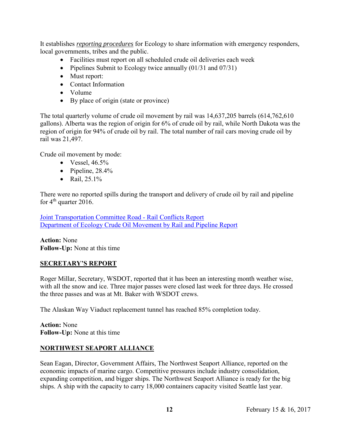It establishes *reporting procedures* for Ecology to share information with emergency responders, local governments, tribes and the public.

- Facilities must report on all scheduled crude oil deliveries each week
- Pipelines Submit to Ecology twice annually  $(01/31$  and  $07/31)$
- Must report:
- Contact Information
- Volume
- By place of origin (state or province)

The total quarterly volume of crude oil movement by rail was 14,637,205 barrels (614,762,610 gallons). Alberta was the region of origin for 6% of crude oil by rail, while North Dakota was the region of origin for 94% of crude oil by rail. The total number of rail cars moving crude oil by rail was 21,497.

Crude oil movement by mode:

- $\bullet$  Vessel, 46.5%
- Pipeline,  $28.4\%$
- Rail,  $25.1\%$

There were no reported spills during the transport and delivery of crude oil by rail and pipeline for  $4<sup>th</sup>$  quarter 2016.

[Joint Transportation Committee Road -](http://www.wstc.wa.gov/Meetings/AgendasMinutes/agendas/2017/February15/Documents/2017_0215_BP9_JTC.pdf) Rail Conflicts Report [Department of Ecology Crude Oil Movement by Rail and Pipeline Report](http://www.wstc.wa.gov/Meetings/AgendasMinutes/agendas/2017/February15/Documents/2017_0215_BP9_CrudeOilTranpEcSpills.pdf)

**Action:** None **Follow-Up:** None at this time

### **SECRETARY'S REPORT**

Roger Millar, Secretary, WSDOT, reported that it has been an interesting month weather wise, with all the snow and ice. Three major passes were closed last week for three days. He crossed the three passes and was at Mt. Baker with WSDOT crews.

The Alaskan Way Viaduct replacement tunnel has reached 85% completion today.

**Action:** None **Follow-Up:** None at this time

### **NORTHWEST SEAPORT ALLIANCE**

Sean Eagan, Director, Government Affairs, The Northwest Seaport Alliance, reported on the economic impacts of marine cargo. Competitive pressures include industry consolidation, expanding competition, and bigger ships. The Northwest Seaport Alliance is ready for the big ships. A ship with the capacity to carry 18,000 containers capacity visited Seattle last year.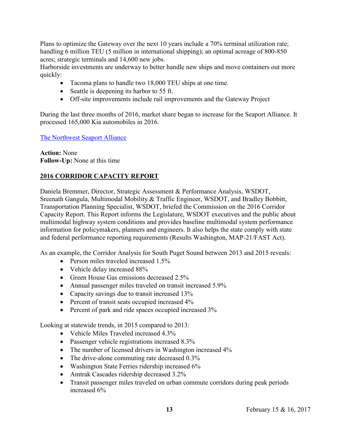Plans to optimize the Gateway over the next 10 years include a 70% terminal utilization rate; handling 6 million TEU (5 million in international shipping); an optimal acreage of 800-850 acres; strategic terminals and 14,600 new jobs.

Harborside investments are underway to better handle new ships and move containers out more quickly:

- Tacoma plans to handle two 18,000 TEU ships at one time.
- Seattle is deepening its harbor to 55 ft.
- Off-site improvements include rail improvements and the Gateway Project

During the last three months of 2016, market share began to increase for the Seaport Alliance. It processed 165,000 Kia automobiles in 2016.

[The Northwest Seaport Alliance](http://www.wstc.wa.gov/Meetings/AgendasMinutes/agendas/2017/February15/Documents/2017_0216_BP11_SeaportAlliance.pdf)

**Action:** None **Follow-Up:** None at this time

## **2016 CORRIDOR CAPACITY REPORT**

Daniela Bremmer, Director, Strategic Assessment & Performance Analysis, WSDOT, Sreenath Gangula, Multimodal Mobility & Traffic Engineer, WSDOT, and Bradley Bobbitt, Transportation Planning Specialist, WSDOT, briefed the Commission on the 2016 Corridor Capacity Report. This Report informs the Legislature, WSDOT executives and the public about multimodal highway system conditions and provides baseline multimodal system performance information for policymakers, planners and engineers. It also helps the state comply with state and federal performance reporting requirements (Results Washington, MAP-21/FAST Act).

As an example, the Corridor Analysis for South Puget Sound between 2013 and 2015 reveals:

- Person miles traveled increased 1.5%
- Vehicle delay increased 88%
- Green House Gas emissions decreased 2.5%
- Annual passenger miles traveled on transit increased 5.9%
- Capacity savings due to transit increased 13%
- Percent of transit seats occupied increased 4%
- Percent of park and ride spaces occupied increased 3%

Looking at statewide trends, in 2015 compared to 2013:

- Vehicle Miles Traveled increased 4.3%
- Passenger vehicle registrations increased 8.3%
- The number of licensed drivers in Washington increased 4%
- The drive-alone commuting rate decreased 0.3%
- Washington State Ferries ridership increased 6%
- Amtrak Cascades ridership decreased 3.2%
- Transit passenger miles traveled on urban commute corridors during peak periods increased 6%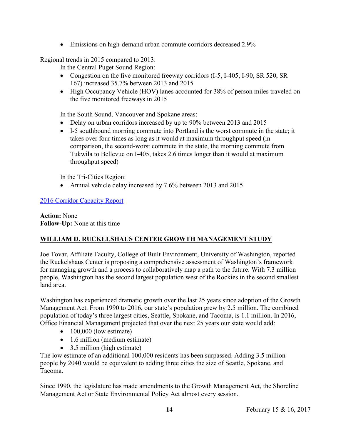Emissions on high-demand urban commute corridors decreased 2.9%

Regional trends in 2015 compared to 2013:

In the Central Puget Sound Region:

- Congestion on the five monitored freeway corridors (I-5, I-405, I-90, SR 520, SR 167) increased 35.7% between 2013 and 2015
- High Occupancy Vehicle (HOV) lanes accounted for 38% of person miles traveled on the five monitored freeways in 2015

In the South Sound, Vancouver and Spokane areas:

- Delay on urban corridors increased by up to 90% between 2013 and 2015
- I-5 southbound morning commute into Portland is the worst commute in the state; it takes over four times as long as it would at maximum throughput speed (in comparison, the second-worst commute in the state, the morning commute from Tukwila to Bellevue on I-405, takes 2.6 times longer than it would at maximum throughput speed)

In the Tri-Cities Region:

• Annual vehicle delay increased by 7.6% between 2013 and 2015

## [2016 Corridor Capacity Report](http://www.wstc.wa.gov/Meetings/AgendasMinutes/agendas/2017/February15/Documents/2017_0216_BP12_CorridorCapacityReport.pdf)

**Action:** None **Follow-Up:** None at this time

## **WILLIAM D. RUCKELSHAUS CENTER GROWTH MANAGEMENT STUDY**

Joe Tovar, Affiliate Faculty, College of Built Environment, University of Washington, reported the Ruckelshaus Center is proposing a comprehensive assessment of Washington's framework for managing growth and a process to collaboratively map a path to the future. With 7.3 million people, Washington has the second largest population west of the Rockies in the second smallest land area.

Washington has experienced dramatic growth over the last 25 years since adoption of the Growth Management Act. From 1990 to 2016, our state's population grew by 2.5 million. The combined population of today's three largest cities, Seattle, Spokane, and Tacoma, is 1.1 million. In 2016, Office Financial Management projected that over the next 25 years our state would add:

- $\bullet$  100,000 (low estimate)
- 1.6 million (medium estimate)
- 3.5 million (high estimate)

The low estimate of an additional 100,000 residents has been surpassed. Adding 3.5 million people by 2040 would be equivalent to adding three cities the size of Seattle, Spokane, and Tacoma.

Since 1990, the legislature has made amendments to the Growth Management Act, the Shoreline Management Act or State Environmental Policy Act almost every session.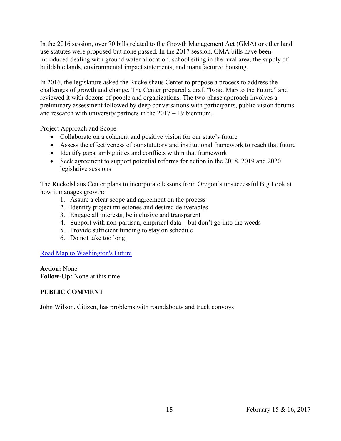In the 2016 session, over 70 bills related to the Growth Management Act (GMA) or other land use statutes were proposed but none passed. In the 2017 session, GMA bills have been introduced dealing with ground water allocation, school siting in the rural area, the supply of buildable lands, environmental impact statements, and manufactured housing.

In 2016, the legislature asked the Ruckelshaus Center to propose a process to address the challenges of growth and change. The Center prepared a draft "Road Map to the Future" and reviewed it with dozens of people and organizations. The two-phase approach involves a preliminary assessment followed by deep conversations with participants, public vision forums and research with university partners in the 2017 – 19 biennium.

Project Approach and Scope

- Collaborate on a coherent and positive vision for our state's future
- Assess the effectiveness of our statutory and institutional framework to reach that future
- Identify gaps, ambiguities and conflicts within that framework
- Seek agreement to support potential reforms for action in the 2018, 2019 and 2020 legislative sessions

The Ruckelshaus Center plans to incorporate lessons from Oregon's unsuccessful Big Look at how it manages growth:

- 1. Assure a clear scope and agreement on the process
- 2. Identify project milestones and desired deliverables
- 3. Engage all interests, be inclusive and transparent
- 4. Support with non-partisan, empirical data but don't go into the weeds
- 5. Provide sufficient funding to stay on schedule
- 6. Do not take too long!

[Road Map to Washington's Future](http://www.wstc.wa.gov/Meetings/AgendasMinutes/agendas/2017/February15/Documents/2017_0216_BP13_RuckelshausCtr_proposedrdMaptotheFuture.pdf)

**Action:** None **Follow-Up:** None at this time

## **PUBLIC COMMENT**

John Wilson, Citizen, has problems with roundabouts and truck convoys